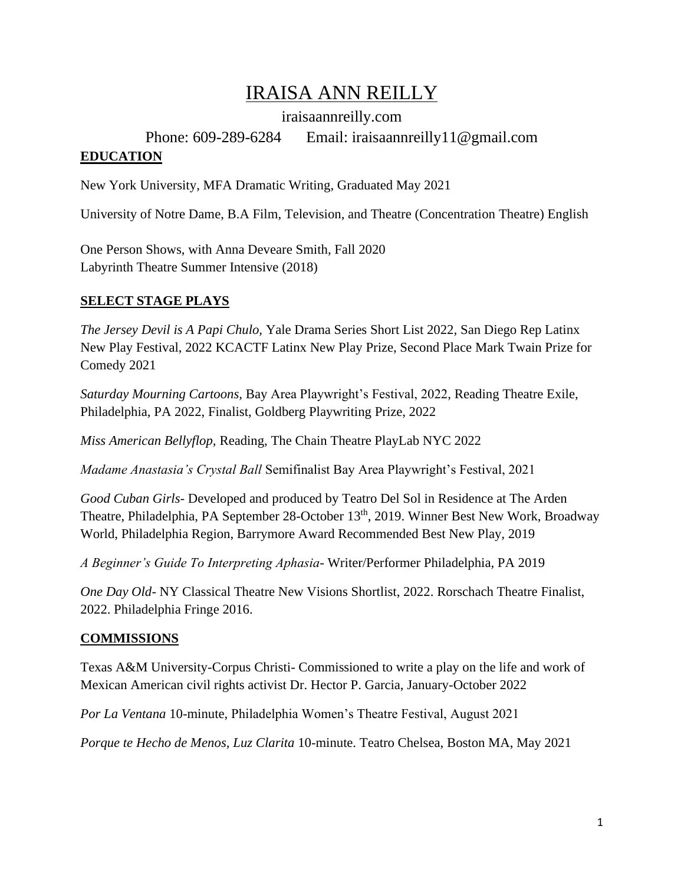# IRAISA ANN REILLY

iraisaannreilly.com

### Phone: 609-289-6284 Email: iraisaannreilly11@gmail.com **EDUCATION**

New York University, MFA Dramatic Writing, Graduated May 2021

University of Notre Dame, B.A Film, Television, and Theatre (Concentration Theatre) English

One Person Shows, with Anna Deveare Smith, Fall 2020 Labyrinth Theatre Summer Intensive (2018)

## **SELECT STAGE PLAYS**

*The Jersey Devil is A Papi Chulo,* Yale Drama Series Short List 2022, San Diego Rep Latinx New Play Festival, 2022 KCACTF Latinx New Play Prize, Second Place Mark Twain Prize for Comedy 2021

*Saturday Mourning Cartoons,* Bay Area Playwright's Festival, 2022, Reading Theatre Exile, Philadelphia, PA 2022, Finalist, Goldberg Playwriting Prize, 2022

*Miss American Bellyflop,* Reading, The Chain Theatre PlayLab NYC 2022

*Madame Anastasia's Crystal Ball* Semifinalist Bay Area Playwright's Festival, 2021

*Good Cuban Girls-* Developed and produced by Teatro Del Sol in Residence at The Arden Theatre, Philadelphia, PA September 28-October 13<sup>th</sup>, 2019. Winner Best New Work, Broadway World, Philadelphia Region, Barrymore Award Recommended Best New Play, 2019

*A Beginner's Guide To Interpreting Aphasia-* Writer/Performer Philadelphia, PA 2019

*One Day Old-* NY Classical Theatre New Visions Shortlist, 2022. Rorschach Theatre Finalist, 2022. Philadelphia Fringe 2016.

### **COMMISSIONS**

Texas A&M University-Corpus Christi- Commissioned to write a play on the life and work of Mexican American civil rights activist Dr. Hector P. Garcia, January-October 2022

*Por La Ventana* 10-minute, Philadelphia Women's Theatre Festival, August 2021

*Porque te Hecho de Menos, Luz Clarita* 10-minute. Teatro Chelsea, Boston MA, May 2021